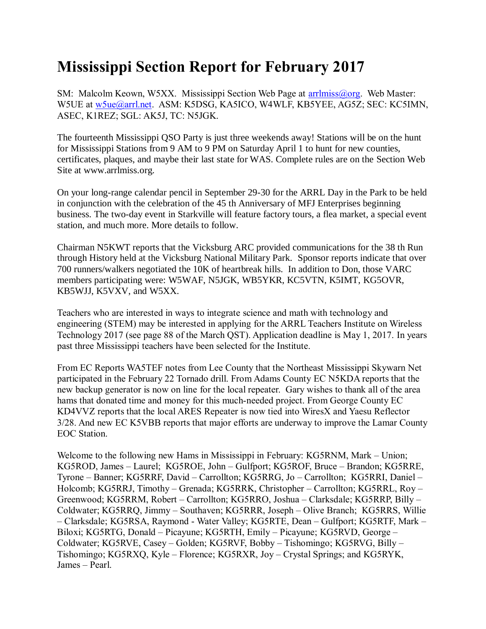## **Mississippi Section Report for February 2017**

SM: Malcolm Keown, W5XX. Mississippi Section Web Page at [arrlmiss@org.](mailto:arrlmiss@org) Web Master: W5UE at [w5ue@arrl.net.](mailto:w5ue@arrl.net) ASM: K5DSG, KA5ICO, W4WLF, KB5YEE, AG5Z; SEC: KC5IMN, ASEC, K1REZ; SGL: AK5J, TC: N5JGK.

The fourteenth Mississippi QSO Party is just three weekends away! Stations will be on the hunt for Mississippi Stations from 9 AM to 9 PM on Saturday April 1 to hunt for new counties, certificates, plaques, and maybe their last state for WAS. Complete rules are on the Section Web Site at www.arrlmiss.org.

On your long-range calendar pencil in September 29-30 for the ARRL Day in the Park to be held in conjunction with the celebration of the 45 th Anniversary of MFJ Enterprises beginning business. The two-day event in Starkville will feature factory tours, a flea market, a special event station, and much more. More details to follow.

Chairman N5KWT reports that the Vicksburg ARC provided communications for the 38 th Run through History held at the Vicksburg National Military Park. Sponsor reports indicate that over 700 runners/walkers negotiated the 10K of heartbreak hills. In addition to Don, those VARC members participating were: W5WAF, N5JGK, WB5YKR, KC5VTN, K5IMT, KG5OVR, KB5WJJ, K5VXV, and W5XX.

Teachers who are interested in ways to integrate science and math with technology and engineering (STEM) may be interested in applying for the ARRL Teachers Institute on Wireless Technology 2017 (see page 88 of the March QST). Application deadline is May 1, 2017. In years past three Mississippi teachers have been selected for the Institute.

From EC Reports WA5TEF notes from Lee County that the Northeast Mississippi Skywarn Net participated in the February 22 Tornado drill. From Adams County EC N5KDA reports that the new backup generator is now on line for the local repeater. Gary wishes to thank all of the area hams that donated time and money for this much-needed project. From George County EC KD4VVZ reports that the local ARES Repeater is now tied into WiresX and Yaesu Reflector 3/28. And new EC K5VBB reports that major efforts are underway to improve the Lamar County EOC Station.

Welcome to the following new Hams in Mississippi in February: KG5RNM, Mark – Union; KG5ROD, James – Laurel; KG5ROE, John – Gulfport; KG5ROF, Bruce – Brandon; KG5RRE, Tyrone – Banner; KG5RRF, David – Carrollton; KG5RRG, Jo – Carrollton; KG5RRI, Daniel – Holcomb; KG5RRJ, Timothy – Grenada; KG5RRK, Christopher – Carrollton; KG5RRL, Roy – Greenwood; KG5RRM, Robert – Carrollton; KG5RRO, Joshua – Clarksdale; KG5RRP, Billy – Coldwater; KG5RRQ, Jimmy – Southaven; KG5RRR, Joseph – Olive Branch; KG5RRS, Willie – Clarksdale; KG5RSA, Raymond - Water Valley; KG5RTE, Dean – Gulfport; KG5RTF, Mark – Biloxi; KG5RTG, Donald – Picayune; KG5RTH, Emily – Picayune; KG5RVD, George – Coldwater; KG5RVE, Casey – Golden; KG5RVF, Bobby – Tishomingo; KG5RVG, Billy – Tishomingo; KG5RXQ, Kyle – Florence; KG5RXR, Joy – Crystal Springs; and KG5RYK, James – Pearl.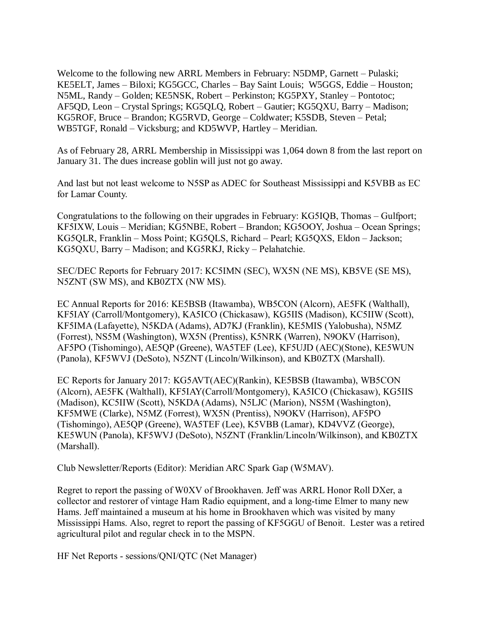Welcome to the following new ARRL Members in February: N5DMP, Garnett – Pulaski; KE5ELT, James – Biloxi; KG5GCC, Charles – Bay Saint Louis; W5GGS, Eddie – Houston; N5ML, Randy – Golden; KE5NSK, Robert – Perkinston; KG5PXY, Stanley – Pontotoc; AF5QD, Leon – Crystal Springs; KG5QLQ, Robert – Gautier; KG5QXU, Barry – Madison; KG5ROF, Bruce – Brandon; KG5RVD, George – Coldwater; K5SDB, Steven – Petal; WB5TGF, Ronald – Vicksburg; and KD5WVP, Hartley – Meridian.

As of February 28, ARRL Membership in Mississippi was 1,064 down 8 from the last report on January 31. The dues increase goblin will just not go away.

And last but not least welcome to N5SP as ADEC for Southeast Mississippi and K5VBB as EC for Lamar County.

Congratulations to the following on their upgrades in February: KG5IQB, Thomas – Gulfport; KF5IXW, Louis – Meridian; KG5NBE, Robert – Brandon; KG5OOY, Joshua – Ocean Springs; KG5QLR, Franklin – Moss Point; KG5QLS, Richard – Pearl; KG5QXS, Eldon – Jackson; KG5QXU, Barry – Madison; and KG5RKJ, Ricky – Pelahatchie.

SEC/DEC Reports for February 2017: KC5IMN (SEC), WX5N (NE MS), KB5VE (SE MS), N5ZNT (SW MS), and KB0ZTX (NW MS).

EC Annual Reports for 2016: KE5BSB (Itawamba), WB5CON (Alcorn), AE5FK (Walthall), KF5IAY (Carroll/Montgomery), KA5ICO (Chickasaw), KG5IIS (Madison), KC5IIW (Scott), KF5IMA (Lafayette), N5KDA (Adams), AD7KJ (Franklin), KE5MIS (Yalobusha), N5MZ (Forrest), NS5M (Washington), WX5N (Prentiss), K5NRK (Warren), N9OKV (Harrison), AF5PO (Tishomingo), AE5QP (Greene), WA5TEF (Lee), KF5UJD (AEC)(Stone), KE5WUN (Panola), KF5WVJ (DeSoto), N5ZNT (Lincoln/Wilkinson), and KB0ZTX (Marshall).

EC Reports for January 2017: KG5AVT(AEC)(Rankin), KE5BSB (Itawamba), WB5CON (Alcorn), AE5FK (Walthall), KF5IAY(Carroll/Montgomery), KA5ICO (Chickasaw), KG5IIS (Madison), KC5IIW (Scott), N5KDA (Adams), N5LJC (Marion), NS5M (Washington), KF5MWE (Clarke), N5MZ (Forrest), WX5N (Prentiss), N9OKV (Harrison), AF5PO (Tishomingo), AE5QP (Greene), WA5TEF (Lee), K5VBB (Lamar), KD4VVZ (George), KE5WUN (Panola), KF5WVJ (DeSoto), N5ZNT (Franklin/Lincoln/Wilkinson), and KB0ZTX (Marshall).

Club Newsletter/Reports (Editor): Meridian ARC Spark Gap (W5MAV).

Regret to report the passing of W0XV of Brookhaven. Jeff was ARRL Honor Roll DXer, a collector and restorer of vintage Ham Radio equipment, and a long-time Elmer to many new Hams. Jeff maintained a museum at his home in Brookhaven which was visited by many Mississippi Hams. Also, regret to report the passing of KF5GGU of Benoit. Lester was a retired agricultural pilot and regular check in to the MSPN.

HF Net Reports - sessions/QNI/QTC (Net Manager)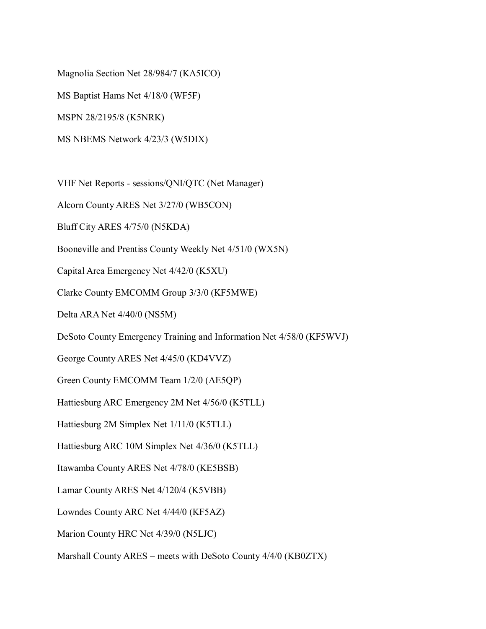Magnolia Section Net 28/984/7 (KA5ICO) MS Baptist Hams Net 4/18/0 (WF5F) MSPN 28/2195/8 (K5NRK) MS NBEMS Network 4/23/3 (W5DIX)

VHF Net Reports - sessions/QNI/QTC (Net Manager)

Alcorn County ARES Net 3/27/0 (WB5CON)

Bluff City ARES 4/75/0 (N5KDA)

Booneville and Prentiss County Weekly Net 4/51/0 (WX5N)

Capital Area Emergency Net 4/42/0 (K5XU)

Clarke County EMCOMM Group 3/3/0 (KF5MWE)

Delta ARA Net 4/40/0 (NS5M)

DeSoto County Emergency Training and Information Net 4/58/0 (KF5WVJ)

George County ARES Net 4/45/0 (KD4VVZ)

Green County EMCOMM Team 1/2/0 (AE5QP)

Hattiesburg ARC Emergency 2M Net 4/56/0 (K5TLL)

Hattiesburg 2M Simplex Net 1/11/0 (K5TLL)

Hattiesburg ARC 10M Simplex Net 4/36/0 (K5TLL)

Itawamba County ARES Net 4/78/0 (KE5BSB)

Lamar County ARES Net 4/120/4 (K5VBB)

Lowndes County ARC Net 4/44/0 (KF5AZ)

Marion County HRC Net 4/39/0 (N5LJC)

Marshall County ARES – meets with DeSoto County 4/4/0 (KB0ZTX)